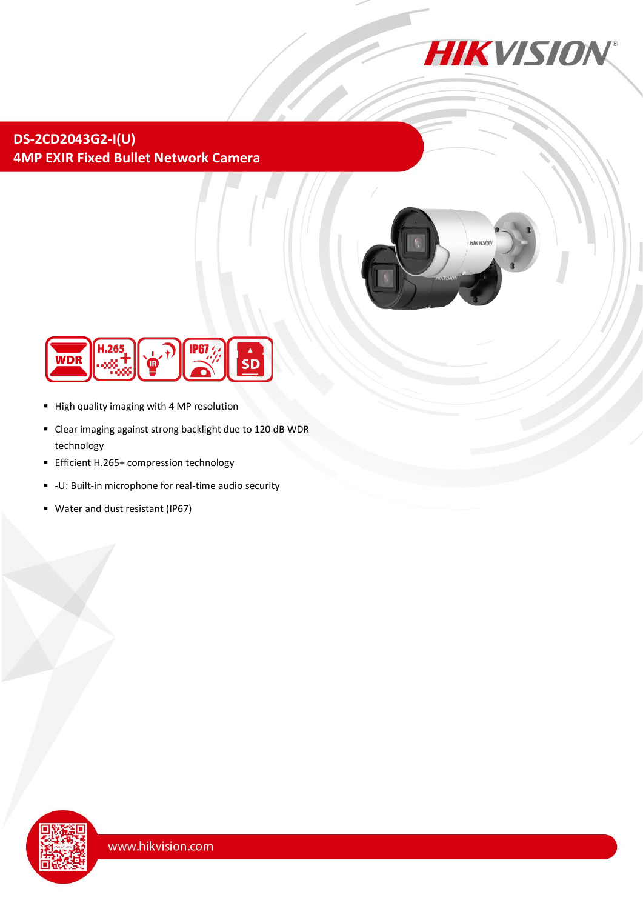

**DS-2CD2043G2-I(U) 4MP EXIR Fixed Bullet Network Camera**





- High quality imaging with 4 MP resolution
- Clear imaging against strong backlight due to 120 dB WDR technology
- **Efficient H.265+ compression technology**
- -U: Built-in microphone for real-time audio security
- Water and dust resistant (IP67)

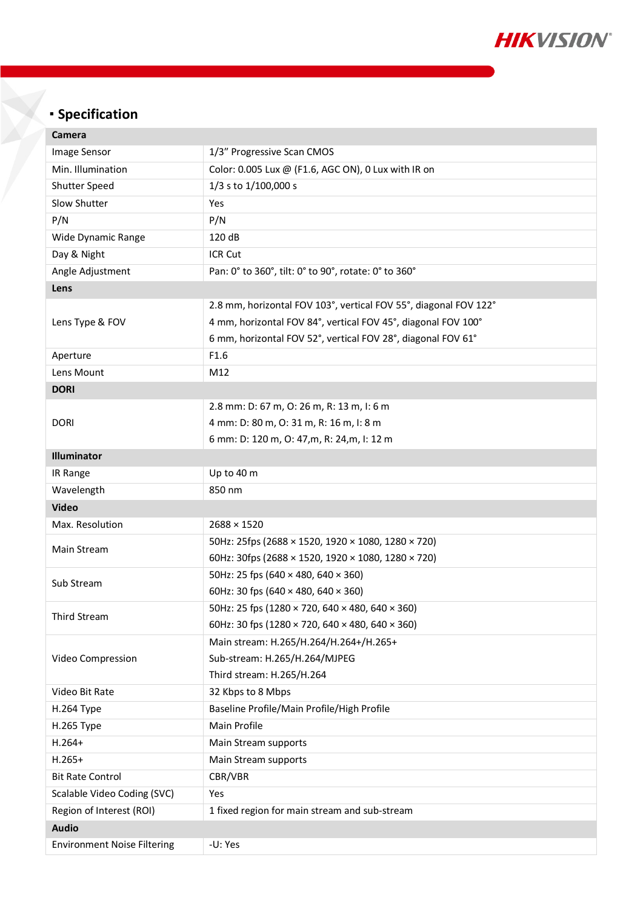

# **Specification**

| Camera                             |                                                                      |  |
|------------------------------------|----------------------------------------------------------------------|--|
| Image Sensor                       | 1/3" Progressive Scan CMOS                                           |  |
| Min. Illumination                  | Color: 0.005 Lux @ (F1.6, AGC ON), 0 Lux with IR on                  |  |
| Shutter Speed                      | 1/3 s to 1/100,000 s                                                 |  |
| Slow Shutter                       | Yes                                                                  |  |
| P/N                                | P/N                                                                  |  |
| Wide Dynamic Range                 | 120 dB                                                               |  |
| Day & Night                        | ICR Cut                                                              |  |
| Angle Adjustment                   | Pan: 0° to 360°, tilt: 0° to 90°, rotate: 0° to 360°                 |  |
| Lens                               |                                                                      |  |
| Lens Type & FOV                    | 2.8 mm, horizontal FOV 103°, vertical FOV 55°, diagonal FOV 122°     |  |
|                                    | 4 mm, horizontal FOV 84°, vertical FOV 45°, diagonal FOV 100°        |  |
|                                    | 6 mm, horizontal FOV 52°, vertical FOV 28°, diagonal FOV 61°         |  |
| Aperture                           | F1.6                                                                 |  |
| Lens Mount                         | M12                                                                  |  |
| <b>DORI</b>                        |                                                                      |  |
| <b>DORI</b>                        | 2.8 mm: D: 67 m, O: 26 m, R: 13 m, I: 6 m                            |  |
|                                    | 4 mm: D: 80 m, O: 31 m, R: 16 m, I: 8 m                              |  |
|                                    | 6 mm: D: 120 m, O: 47, m, R: 24, m, I: 12 m                          |  |
| Illuminator                        |                                                                      |  |
| IR Range                           | Up to 40 m                                                           |  |
| Wavelength                         | 850 nm                                                               |  |
| <b>Video</b>                       |                                                                      |  |
| Max. Resolution                    | $2688 \times 1520$                                                   |  |
|                                    | 50Hz: 25fps (2688 × 1520, 1920 × 1080, 1280 × 720)                   |  |
| Main Stream                        | 60Hz: 30fps (2688 × 1520, 1920 × 1080, 1280 × 720)                   |  |
| Sub Stream                         | 50Hz: 25 fps (640 × 480, 640 × 360)                                  |  |
|                                    | 60Hz: 30 fps (640 $\times$ 480, 640 $\times$ 360)                    |  |
| Third Stream                       | 50Hz: 25 fps (1280 × 720, 640 × 480, 640 × 360)                      |  |
|                                    | 60Hz: 30 fps (1280 $\times$ 720, 640 $\times$ 480, 640 $\times$ 360) |  |
| Video Compression                  | Main stream: H.265/H.264/H.264+/H.265+                               |  |
|                                    | Sub-stream: H.265/H.264/MJPEG                                        |  |
|                                    | Third stream: H.265/H.264                                            |  |
| Video Bit Rate                     | 32 Kbps to 8 Mbps                                                    |  |
| <b>H.264 Type</b>                  | Baseline Profile/Main Profile/High Profile                           |  |
| H.265 Type                         | Main Profile                                                         |  |
| $H.264+$                           | Main Stream supports                                                 |  |
| $H.265+$                           | Main Stream supports                                                 |  |
| <b>Bit Rate Control</b>            | CBR/VBR                                                              |  |
| Scalable Video Coding (SVC)        | Yes                                                                  |  |
| Region of Interest (ROI)           | 1 fixed region for main stream and sub-stream                        |  |
| <b>Audio</b>                       |                                                                      |  |
| <b>Environment Noise Filtering</b> | -U: Yes                                                              |  |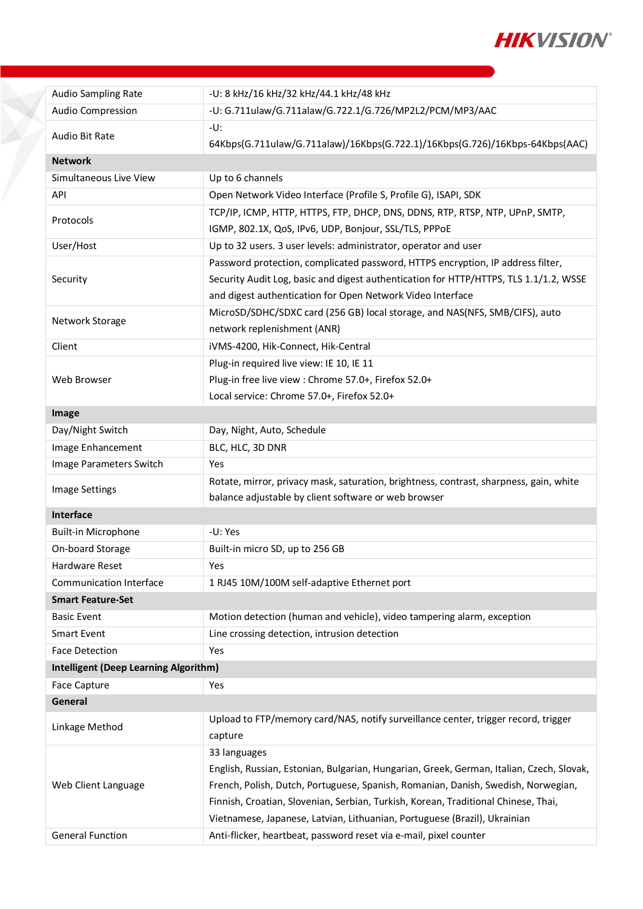

| <b>Audio Sampling Rate</b>                     | -U: 8 kHz/16 kHz/32 kHz/44.1 kHz/48 kHz                                                                                                                                                                                                                                                                                                                                                                                               |  |
|------------------------------------------------|---------------------------------------------------------------------------------------------------------------------------------------------------------------------------------------------------------------------------------------------------------------------------------------------------------------------------------------------------------------------------------------------------------------------------------------|--|
| Audio Compression                              | -U: G.711ulaw/G.711alaw/G.722.1/G.726/MP2L2/PCM/MP3/AAC                                                                                                                                                                                                                                                                                                                                                                               |  |
| Audio Bit Rate                                 | -U:<br>64Kbps(G.711ulaw/G.711alaw)/16Kbps(G.722.1)/16Kbps(G.726)/16Kbps-64Kbps(AAC)                                                                                                                                                                                                                                                                                                                                                   |  |
| <b>Network</b>                                 |                                                                                                                                                                                                                                                                                                                                                                                                                                       |  |
| Simultaneous Live View                         | Up to 6 channels                                                                                                                                                                                                                                                                                                                                                                                                                      |  |
| API                                            | Open Network Video Interface (Profile S, Profile G), ISAPI, SDK                                                                                                                                                                                                                                                                                                                                                                       |  |
| Protocols                                      | TCP/IP, ICMP, HTTP, HTTPS, FTP, DHCP, DNS, DDNS, RTP, RTSP, NTP, UPnP, SMTP,<br>IGMP, 802.1X, QoS, IPv6, UDP, Bonjour, SSL/TLS, PPPoE                                                                                                                                                                                                                                                                                                 |  |
| User/Host                                      | Up to 32 users. 3 user levels: administrator, operator and user                                                                                                                                                                                                                                                                                                                                                                       |  |
|                                                | Password protection, complicated password, HTTPS encryption, IP address filter,                                                                                                                                                                                                                                                                                                                                                       |  |
| Security                                       | Security Audit Log, basic and digest authentication for HTTP/HTTPS, TLS 1.1/1.2, WSSE<br>and digest authentication for Open Network Video Interface                                                                                                                                                                                                                                                                                   |  |
| Network Storage                                | MicroSD/SDHC/SDXC card (256 GB) local storage, and NAS(NFS, SMB/CIFS), auto<br>network replenishment (ANR)                                                                                                                                                                                                                                                                                                                            |  |
| Client                                         | iVMS-4200, Hik-Connect, Hik-Central                                                                                                                                                                                                                                                                                                                                                                                                   |  |
|                                                | Plug-in required live view: IE 10, IE 11                                                                                                                                                                                                                                                                                                                                                                                              |  |
| Web Browser                                    | Plug-in free live view : Chrome 57.0+, Firefox 52.0+                                                                                                                                                                                                                                                                                                                                                                                  |  |
|                                                | Local service: Chrome 57.0+, Firefox 52.0+                                                                                                                                                                                                                                                                                                                                                                                            |  |
| Image                                          |                                                                                                                                                                                                                                                                                                                                                                                                                                       |  |
| Day/Night Switch                               | Day, Night, Auto, Schedule                                                                                                                                                                                                                                                                                                                                                                                                            |  |
| Image Enhancement                              | BLC, HLC, 3D DNR                                                                                                                                                                                                                                                                                                                                                                                                                      |  |
| Image Parameters Switch                        | Yes                                                                                                                                                                                                                                                                                                                                                                                                                                   |  |
| Image Settings                                 | Rotate, mirror, privacy mask, saturation, brightness, contrast, sharpness, gain, white                                                                                                                                                                                                                                                                                                                                                |  |
|                                                | balance adjustable by client software or web browser                                                                                                                                                                                                                                                                                                                                                                                  |  |
| Interface                                      |                                                                                                                                                                                                                                                                                                                                                                                                                                       |  |
| <b>Built-in Microphone</b>                     | -U: Yes                                                                                                                                                                                                                                                                                                                                                                                                                               |  |
| On-board Storage                               | Built-in micro SD, up to 256 GB                                                                                                                                                                                                                                                                                                                                                                                                       |  |
| Hardware Reset                                 | Yes                                                                                                                                                                                                                                                                                                                                                                                                                                   |  |
| Communication Interface                        | 1 RJ45 10M/100M self-adaptive Ethernet port                                                                                                                                                                                                                                                                                                                                                                                           |  |
| <b>Smart Feature-Set</b>                       |                                                                                                                                                                                                                                                                                                                                                                                                                                       |  |
| <b>Basic Event</b>                             | Motion detection (human and vehicle), video tampering alarm, exception                                                                                                                                                                                                                                                                                                                                                                |  |
| <b>Smart Event</b>                             | Line crossing detection, intrusion detection                                                                                                                                                                                                                                                                                                                                                                                          |  |
| <b>Face Detection</b>                          | Yes                                                                                                                                                                                                                                                                                                                                                                                                                                   |  |
| <b>Intelligent (Deep Learning Algorithm)</b>   |                                                                                                                                                                                                                                                                                                                                                                                                                                       |  |
| Face Capture                                   | Yes                                                                                                                                                                                                                                                                                                                                                                                                                                   |  |
| General                                        |                                                                                                                                                                                                                                                                                                                                                                                                                                       |  |
| Linkage Method                                 | Upload to FTP/memory card/NAS, notify surveillance center, trigger record, trigger<br>capture                                                                                                                                                                                                                                                                                                                                         |  |
| Web Client Language<br><b>General Function</b> | 33 languages<br>English, Russian, Estonian, Bulgarian, Hungarian, Greek, German, Italian, Czech, Slovak,<br>French, Polish, Dutch, Portuguese, Spanish, Romanian, Danish, Swedish, Norwegian,<br>Finnish, Croatian, Slovenian, Serbian, Turkish, Korean, Traditional Chinese, Thai,<br>Vietnamese, Japanese, Latvian, Lithuanian, Portuguese (Brazil), Ukrainian<br>Anti-flicker, heartbeat, password reset via e-mail, pixel counter |  |
|                                                |                                                                                                                                                                                                                                                                                                                                                                                                                                       |  |

X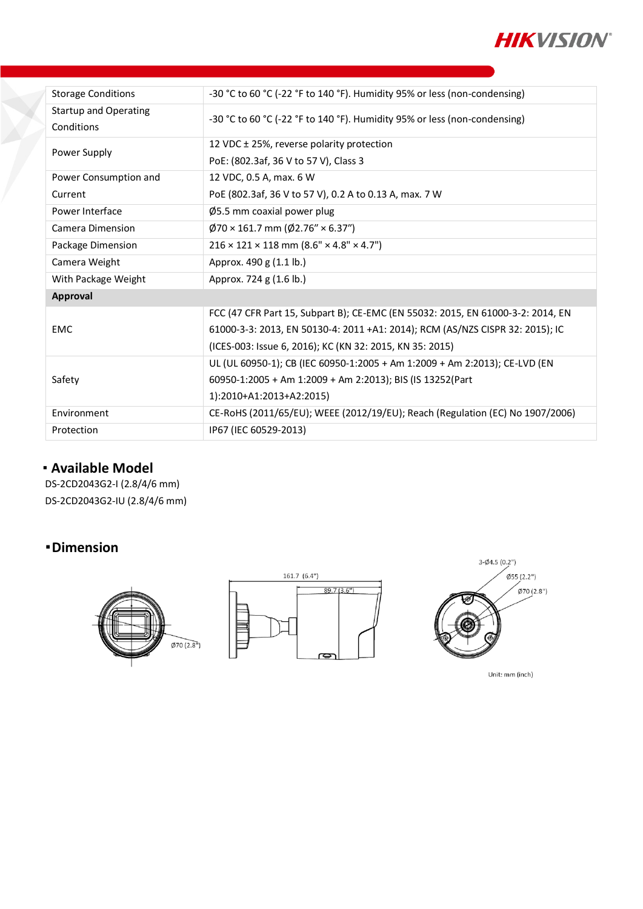

| <b>Storage Conditions</b>    | -30 °C to 60 °C (-22 °F to 140 °F). Humidity 95% or less (non-condensing)       |
|------------------------------|---------------------------------------------------------------------------------|
| <b>Startup and Operating</b> | -30 °C to 60 °C (-22 °F to 140 °F). Humidity 95% or less (non-condensing)       |
| Conditions                   |                                                                                 |
| Power Supply                 | 12 VDC ± 25%, reverse polarity protection                                       |
|                              | PoE: (802.3af, 36 V to 57 V), Class 3                                           |
| Power Consumption and        | 12 VDC, 0.5 A, max. 6 W                                                         |
| Current                      | PoE (802.3af, 36 V to 57 V), 0.2 A to 0.13 A, max. 7 W                          |
| Power Interface              | Ø5.5 mm coaxial power plug                                                      |
| Camera Dimension             | $\varphi$ 70 × 161.7 mm ( $\varphi$ 2.76" × 6.37")                              |
| Package Dimension            | $216 \times 121 \times 118$ mm $(8.6" \times 4.8" \times 4.7")$                 |
| Camera Weight                | Approx. 490 g (1.1 lb.)                                                         |
| With Package Weight          | Approx. 724 g (1.6 lb.)                                                         |
| Approval                     |                                                                                 |
| <b>EMC</b>                   | FCC (47 CFR Part 15, Subpart B); CE-EMC (EN 55032: 2015, EN 61000-3-2: 2014, EN |
|                              | 61000-3-3: 2013, EN 50130-4: 2011 +A1: 2014); RCM (AS/NZS CISPR 32: 2015); IC   |
|                              | (ICES-003: Issue 6, 2016); KC (KN 32: 2015, KN 35: 2015)                        |
| Safety                       | UL (UL 60950-1); CB (IEC 60950-1:2005 + Am 1:2009 + Am 2:2013); CE-LVD (EN      |
|                              | 60950-1:2005 + Am 1:2009 + Am 2:2013); BIS (IS 13252(Part                       |
|                              | 1):2010+A1:2013+A2:2015)                                                        |
| Environment                  | CE-RoHS (2011/65/EU); WEEE (2012/19/EU); Reach (Regulation (EC) No 1907/2006)   |
| Protection                   | IP67 (IEC 60529-2013)                                                           |

## **Available Model**

DS-2CD2043G2-I (2.8/4/6 mm) DS-2CD2043G2-IU (2.8/4/6 mm)

## **Dimension**